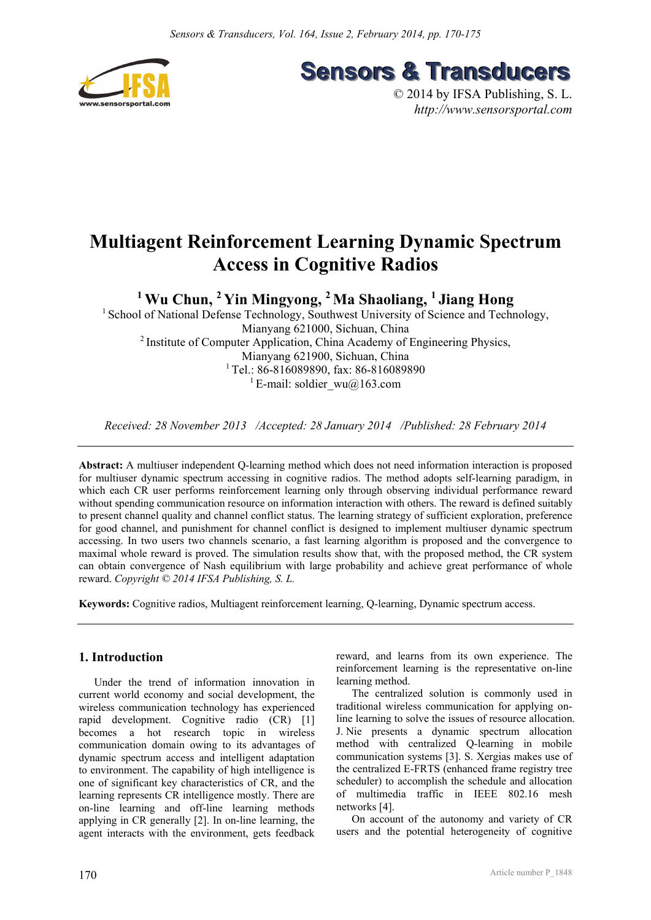



© 2014 by IFSA Publishing, S. L. *http://www.sensorsportal.com*

# **Multiagent Reinforcement Learning Dynamic Spectrum Access in Cognitive Radios**

**1 Wu Chun, 2 Yin Mingyong, 2 Ma Shaoliang, 1 Jiang Hong** 

<sup>1</sup> School of National Defense Technology, Southwest University of Science and Technology, Mianyang 621000, Sichuan, China 2 Institute of Computer Application, China Academy of Engineering Physics, Mianyang 621900, Sichuan, China <sup>1</sup> Tel.: 86-816089890, fax: 86-816089890 <sup>1</sup> E-mail: soldier\_wu@163.com

*Received: 28 November 2013 /Accepted: 28 January 2014 /Published: 28 February 2014* 

**Abstract:** A multiuser independent Q-learning method which does not need information interaction is proposed for multiuser dynamic spectrum accessing in cognitive radios. The method adopts self-learning paradigm, in which each CR user performs reinforcement learning only through observing individual performance reward without spending communication resource on information interaction with others. The reward is defined suitably to present channel quality and channel conflict status. The learning strategy of sufficient exploration, preference for good channel, and punishment for channel conflict is designed to implement multiuser dynamic spectrum accessing. In two users two channels scenario, a fast learning algorithm is proposed and the convergence to maximal whole reward is proved. The simulation results show that, with the proposed method, the CR system can obtain convergence of Nash equilibrium with large probability and achieve great performance of whole reward. *Copyright © 2014 IFSA Publishing, S. L.*

**Keywords:** Cognitive radios, Multiagent reinforcement learning, Q-learning, Dynamic spectrum access.

# **1. Introduction**

Under the trend of information innovation in current world economy and social development, the wireless communication technology has experienced rapid development. Cognitive radio (CR) [1] becomes a hot research topic in wireless communication domain owing to its advantages of dynamic spectrum access and intelligent adaptation to environment. The capability of high intelligence is one of significant key characteristics of CR, and the learning represents CR intelligence mostly. There are on-line learning and off-line learning methods applying in CR generally [2]. In on-line learning, the agent interacts with the environment, gets feedback

reward, and learns from its own experience. The reinforcement learning is the representative on-line learning method.

The centralized solution is commonly used in traditional wireless communication for applying online learning to solve the issues of resource allocation. J. Nie presents a dynamic spectrum allocation method with centralized Q-learning in mobile communication systems [3]. S. Xergias makes use of the centralized E-FRTS (enhanced frame registry tree scheduler) to accomplish the schedule and allocation of multimedia traffic in IEEE 802.16 mesh networks [4].

On account of the autonomy and variety of CR users and the potential heterogeneity of cognitive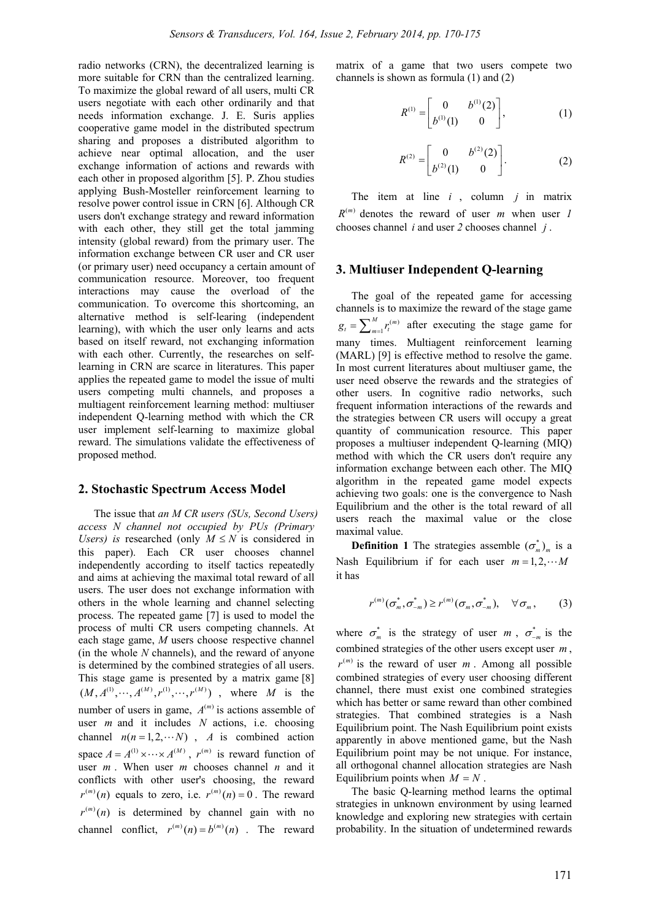radio networks (CRN), the decentralized learning is more suitable for CRN than the centralized learning. To maximize the global reward of all users, multi CR users negotiate with each other ordinarily and that needs information exchange. J. E. Suris applies cooperative game model in the distributed spectrum sharing and proposes a distributed algorithm to achieve near optimal allocation, and the user exchange information of actions and rewards with each other in proposed algorithm [5]. P. Zhou studies applying Bush-Mosteller reinforcement learning to resolve power control issue in CRN [6]. Although CR users don't exchange strategy and reward information with each other, they still get the total jamming intensity (global reward) from the primary user. The information exchange between CR user and CR user (or primary user) need occupancy a certain amount of communication resource. Moreover, too frequent interactions may cause the overload of the communication. To overcome this shortcoming, an alternative method is self-learing (independent learning), with which the user only learns and acts based on itself reward, not exchanging information with each other. Currently, the researches on selflearning in CRN are scarce in literatures. This paper applies the repeated game to model the issue of multi users competing multi channels, and proposes a multiagent reinforcement learning method: multiuser independent Q-learning method with which the CR user implement self-learning to maximize global reward. The simulations validate the effectiveness of proposed method.

#### **2. Stochastic Spectrum Access Model**

The issue that *an M CR users (SUs, Second Users) access N channel not occupied by PUs (Primary Users*) is researched (only  $M \leq N$  is considered in this paper). Each CR user chooses channel independently according to itself tactics repeatedly and aims at achieving the maximal total reward of all users. The user does not exchange information with others in the whole learning and channel selecting process. The repeated game [7] is used to model the process of multi CR users competing channels. At each stage game, *M* users choose respective channel (in the whole *N* channels), and the reward of anyone is determined by the combined strategies of all users. This stage game is presented by a matrix game [8]  $(M, A^{(1)}, \cdots, A^{(M)}, r^{(1)}, \cdots, r^{(M)})$ , where *M* is the number of users in game,  $A^{(m)}$  is actions assemble of user *m* and it includes *N* actions, i.e. choosing channel  $n(n = 1, 2, \dots, N)$ , *A* is combined action space  $A = A^{(1)} \times \cdots \times A^{(M)}$ ,  $r^{(m)}$  is reward function of user *m* . When user *m* chooses channel *n* and it conflicts with other user's choosing, the reward  $r^{(m)}(n)$  equals to zero, i.e.  $r^{(m)}(n) = 0$ . The reward  $r^{(m)}(n)$  is determined by channel gain with no channel conflict,  $r^{(m)}(n) = b^{(m)}(n)$  . The reward

matrix of a game that two users compete two channels is shown as formula (1) and (2)

$$
R^{(1)} = \begin{bmatrix} 0 & b^{(1)}(2) \\ b^{(1)}(1) & 0 \end{bmatrix}, \tag{1}
$$

$$
R^{(2)} = \begin{bmatrix} 0 & b^{(2)}(2) \\ b^{(2)}(1) & 0 \end{bmatrix}.
$$
 (2)

The item at line  $i$ , column  $j$  in matrix  $R^{(m)}$  denotes the reward of user *m* when user *1* chooses channel *i* and user *2* chooses channel *j* .

#### **3. Multiuser Independent Q-learning**

The goal of the repeated game for accessing channels is to maximize the reward of the stage game  $(m)$ 1  $g_t = \sum_{m=1}^{M} r_t^{(m)}$  after executing the stage game for many times. Multiagent reinforcement learning (MARL) [9] is effective method to resolve the game. In most current literatures about multiuser game, the user need observe the rewards and the strategies of other users. In cognitive radio networks, such frequent information interactions of the rewards and the strategies between CR users will occupy a great quantity of communication resource. This paper proposes a multiuser independent Q-learning (MIQ) method with which the CR users don't require any information exchange between each other. The MIQ algorithm in the repeated game model expects achieving two goals: one is the convergence to Nash Equilibrium and the other is the total reward of all users reach the maximal value or the close maximal value.

**Definition 1** The strategies assemble  $(\sigma_m^*)_m$  is a Nash Equilibrium if for each user  $m = 1, 2, \cdots M$ it has

$$
r^{(m)}(\sigma_{m}^{*}, \sigma_{-m}^{*}) \geq r^{(m)}(\sigma_{m}, \sigma_{-m}^{*}), \quad \forall \sigma_{m}, \qquad (3)
$$

where  $\sigma_m^*$  is the strategy of user *m*,  $\sigma_{-m}^*$  is the combined strategies of the other users except user  $m$ ,  $r^{(m)}$  is the reward of user  $m$ . Among all possible combined strategies of every user choosing different channel, there must exist one combined strategies which has better or same reward than other combined strategies. That combined strategies is a Nash Equilibrium point. The Nash Equilibrium point exists apparently in above mentioned game, but the Nash Equilibrium point may be not unique. For instance, all orthogonal channel allocation strategies are Nash Equilibrium points when  $M = N$ .

The basic Q-learning method learns the optimal strategies in unknown environment by using learned knowledge and exploring new strategies with certain probability. In the situation of undetermined rewards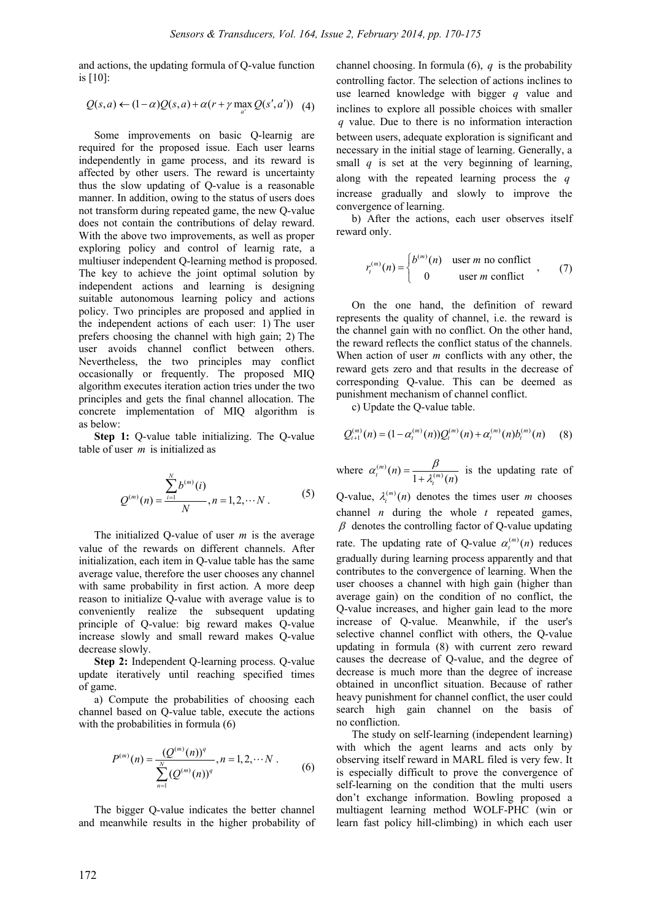and actions, the updating formula of Q-value function is [10]:

 $Q(s, a) \leftarrow (1-\alpha)Q(s, a) + \alpha (r + \gamma \max_{a'} Q(s', a'))$  (4)

Some improvements on basic Q-learnig are required for the proposed issue. Each user learns independently in game process, and its reward is affected by other users. The reward is uncertainty thus the slow updating of Q-value is a reasonable manner. In addition, owing to the status of users does not transform during repeated game, the new Q-value does not contain the contributions of delay reward. With the above two improvements, as well as proper exploring policy and control of learnig rate, a multiuser independent Q-learning method is proposed. The key to achieve the joint optimal solution by independent actions and learning is designing suitable autonomous learning policy and actions policy. Two principles are proposed and applied in the independent actions of each user: 1) The user prefers choosing the channel with high gain; 2) The user avoids channel conflict between others. Nevertheless, the two principles may conflict occasionally or frequently. The proposed MIQ algorithm executes iteration action tries under the two principles and gets the final channel allocation. The concrete implementation of MIQ algorithm is as below:

**Step 1:** Q-value table initializing. The Q-value table of user *m* is initialized as

$$
Q^{(m)}(n) = \frac{\sum_{i=1}^{N} b^{(m)}(i)}{N}, n = 1, 2, \cdots N
$$
 (5)

The initialized Q-value of user *m* is the average value of the rewards on different channels. After initialization, each item in Q-value table has the same average value, therefore the user chooses any channel with same probability in first action. A more deep reason to initialize Q-value with average value is to conveniently realize the subsequent updating principle of Q-value: big reward makes Q-value increase slowly and small reward makes Q-value decrease slowly.

**Step 2:** Independent Q-learning process. Q-value update iteratively until reaching specified times of game.

a) Compute the probabilities of choosing each channel based on Q-value table, execute the actions with the probabilities in formula  $(6)$ 

$$
P^{(m)}(n) = \frac{(Q^{(m)}(n))^q}{\sum_{n=1}^{N} (Q^{(m)}(n))^q}, n = 1, 2, \cdots N
$$
 (6)

The bigger Q-value indicates the better channel and meanwhile results in the higher probability of channel choosing. In formula (6), *q* is the probability controlling factor. The selection of actions inclines to use learned knowledge with bigger *q* value and inclines to explore all possible choices with smaller *q* value. Due to there is no information interaction between users, adequate exploration is significant and necessary in the initial stage of learning. Generally, a small  $q$  is set at the very beginning of learning, along with the repeated learning process the *q* increase gradually and slowly to improve the convergence of learning.

b) After the actions, each user observes itself reward only.

$$
r_t^{(m)}(n) = \begin{cases} b^{(m)}(n) & \text{user } m \text{ no conflict} \\ 0 & \text{user } m \text{ conflict} \end{cases}
$$
 (7)

On the one hand, the definition of reward represents the quality of channel, i.e. the reward is the channel gain with no conflict. On the other hand, the reward reflects the conflict status of the channels. When action of user *m* conflicts with any other, the reward gets zero and that results in the decrease of corresponding Q-value. This can be deemed as punishment mechanism of channel conflict.

c) Update the Q-value table.

$$
Q_{t+1}^{(m)}(n) = (1 - \alpha_t^{(m)}(n))Q_t^{(m)}(n) + \alpha_t^{(m)}(n)b_t^{(m)}(n) \qquad (8)
$$

where  $\alpha_t^{(m)}(n) = \frac{p}{1 + \lambda_t^{(m)}(n)}$  $n = \frac{P}{1 + \lambda_t^{(m)}(n)}$  $\alpha_t^{(m)}(n) = \frac{\beta}{1 + \lambda_t^{(m)}(n)}$  is the updating rate of

Q-value,  $\lambda_t^{(m)}(n)$  denotes the times user *m* chooses channel *n* during the whole *t* repeated games,  $\beta$  denotes the controlling factor of Q-value updating rate. The updating rate of Q-value  $\alpha_t^{(m)}(n)$  reduces gradually during learning process apparently and that contributes to the convergence of learning. When the user chooses a channel with high gain (higher than average gain) on the condition of no conflict, the Q-value increases, and higher gain lead to the more increase of Q-value. Meanwhile, if the user's selective channel conflict with others, the Q-value updating in formula (8) with current zero reward causes the decrease of Q-value, and the degree of decrease is much more than the degree of increase obtained in unconflict situation. Because of rather heavy punishment for channel conflict, the user could search high gain channel on the basis of no confliction.

The study on self-learning (independent learning) with which the agent learns and acts only by observing itself reward in MARL filed is very few. It is especially difficult to prove the convergence of self-learning on the condition that the multi users don't exchange information. Bowling proposed a multiagent learning method WOLF-PHC (win or learn fast policy hill-climbing) in which each user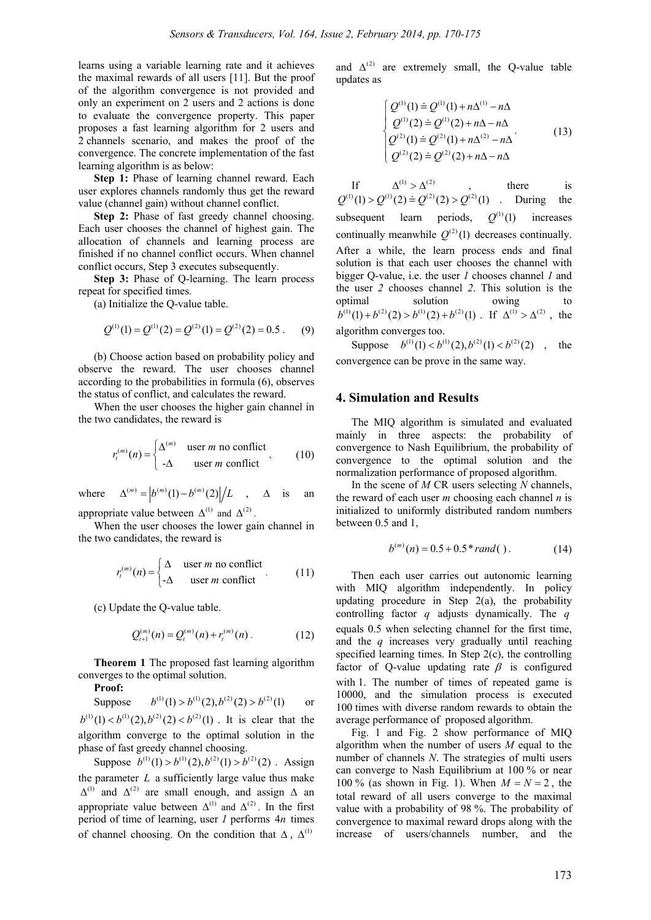learns using a variable learning rate and it achieves the maximal rewards of all users [11]. But the proof of the algorithm convergence is not provided and only an experiment on 2 users and 2 actions is done to evaluate the convergence property. This paper proposes a fast learning algorithm for 2 users and 2 channels scenario, and makes the proof of the convergence. The concrete implementation of the fast learning algorithm is as below:

**Step 1:** Phase of learning channel reward. Each user explores channels randomly thus get the reward value (channel gain) without channel conflict.

**Step 2:** Phase of fast greedy channel choosing. Each user chooses the channel of highest gain. The allocation of channels and learning process are finished if no channel conflict occurs. When channel conflict occurs, Step 3 executes subsequently.

**Step 3:** Phase of Q-learning. The learn process repeat for specified times.

(a) Initialize the Q-value table.

$$
Q^{(1)}(1) = Q^{(1)}(2) = Q^{(2)}(1) = Q^{(2)}(2) = 0.5
$$
. (9)

(b) Choose action based on probability policy and observe the reward. The user chooses channel according to the probabilities in formula (6), observes the status of conflict, and calculates the reward.

When the user chooses the higher gain channel in the two candidates, the reward is

$$
r_t^{(m)}(n) = \begin{cases} \Delta^{(m)} & \text{user } m \text{ no conflict} \\ -\Delta & \text{user } m \text{ conflict} \end{cases}
$$
 (10)

where  $\Delta^{(m)} = |b^{(m)}(1) - b^{(m)}(2)|/L$ ,  $\Delta$  is an

appropriate value between  $\Delta^{(1)}$  and  $\Delta^{(2)}$ .

When the user chooses the lower gain channel in the two candidates, the reward is

$$
r_t^{(m)}(n) = \begin{cases} \Delta & \text{user } m \text{ no conflict} \\ -\Delta & \text{user } m \text{ conflict} \end{cases} (11)
$$

(c) Update the Q-value table.

$$
Q_{t+1}^{(m)}(n) = Q_t^{(m)}(n) + r_t^{(m)}(n) \,. \tag{12}
$$

**Theorem 1** The proposed fast learning algorithm converges to the optimal solution.

**Proof:**

Suppose  $b^{(1)}(1) > b^{(1)}(2), b^{(2)}(2) > b^{(2)}(1)$  or  $b^{(1)}(1) < b^{(1)}(2), b^{(2)}(2) < b^{(2)}(1)$ . It is clear that the algorithm converge to the optimal solution in the phase of fast greedy channel choosing.

Suppose  $b^{(1)}(1) > b^{(1)}(2)$ ,  $b^{(2)}(1) > b^{(2)}(2)$ . Assign the parameter  $L$  a sufficiently large value thus make  $\Delta^{(1)}$  and  $\Delta^{(2)}$  are small enough, and assign  $\Delta$  an appropriate value between  $\Delta^{(1)}$  and  $\Delta^{(2)}$ . In the first period of time of learning, user *1* performs 4*n* times of channel choosing. On the condition that  $\Delta$ ,  $\Delta^{(1)}$ 

and  $\Delta^{(2)}$  are extremely small, the O-value table updates as

$$
\begin{cases}\nQ^{(1)}(1) \doteq Q^{(1)}(1) + n\Delta^{(1)} - n\Delta \\
Q^{(1)}(2) \doteq Q^{(1)}(2) + n\Delta - n\Delta \\
Q^{(2)}(1) \doteq Q^{(2)}(1) + n\Delta^{(2)} - n\Delta \\
Q^{(2)}(2) \doteq Q^{(2)}(2) + n\Delta - n\Delta\n\end{cases} (13)
$$

If  $\Delta^{(1)} > \Delta^{(2)}$ , there is  $Q^{(1)}(1) > Q^{(1)}(2) = Q^{(2)}(2) > Q^{(2)}(1)$  . During the subsequent learn periods,  $Q^{(1)}(1)$  increases continually meanwhile  $O^{(2)}(1)$  decreases continually. After a while, the learn process ends and final solution is that each user chooses the channel with bigger Q-value, i.e. the user *1* chooses channel *1* and the user *2* chooses channel *2*. This solution is the optimal solution owing to  $b^{(1)}(1) + b^{(2)}(2) > b^{(1)}(2) + b^{(2)}(1)$ . If  $\Delta^{(1)} > \Delta^{(2)}$ , the algorithm converges too.

Suppose  $b^{(1)}(1) < b^{(1)}(2), b^{(2)}(1) < b^{(2)}(2)$ , the convergence can be prove in the same way.

#### **4. Simulation and Results**

The MIQ algorithm is simulated and evaluated mainly in three aspects: the probability of convergence to Nash Equilibrium, the probability of convergence to the optimal solution and the normalization performance of proposed algorithm.

In the scene of *M* CR users selecting *N* channels, the reward of each user *m* choosing each channel *n* is initialized to uniformly distributed random numbers between 0.5 and 1,

$$
b^{(m)}(n) = 0.5 + 0.5 * rand()
$$
 (14)

Then each user carries out autonomic learning with MIQ algorithm independently. In policy updating procedure in Step  $2(a)$ , the probability controlling factor *q* adjusts dynamically. The *q* equals 0.5 when selecting channel for the first time, and the *q* increases very gradually until reaching specified learning times. In Step 2(c), the controlling factor of Q-value updating rate  $\beta$  is configured with 1. The number of times of repeated game is 10000, and the simulation process is executed 100 times with diverse random rewards to obtain the average performance of proposed algorithm.

Fig. 1 and Fig. 2 show performance of MIQ algorithm when the number of users *M* equal to the number of channels *N*. The strategies of multi users can converge to Nash Equilibrium at 100 % or near 100 % (as shown in Fig. 1). When  $M = N = 2$ , the total reward of all users converge to the maximal value with a probability of 98 %. The probability of convergence to maximal reward drops along with the increase of users/channels number, and the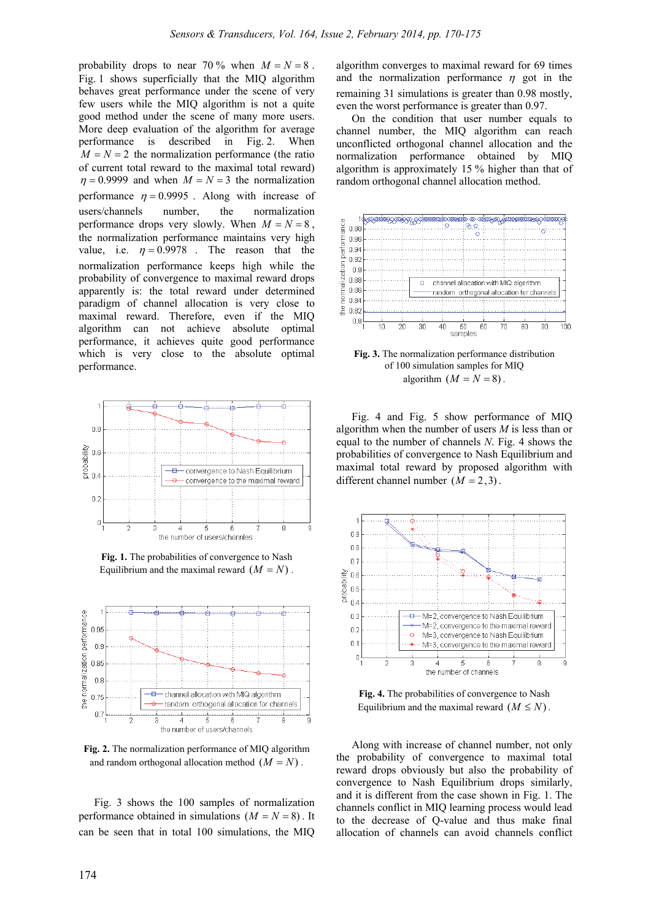probability drops to near 70 % when  $M = N = 8$ . Fig. 1 shows superficially that the MIQ algorithm behaves great performance under the scene of very few users while the MIQ algorithm is not a quite good method under the scene of many more users. More deep evaluation of the algorithm for average performance is described in Fig. 2. When  $M = N = 2$  the normalization performance (the ratio of current total reward to the maximal total reward)  $\eta = 0.9999$  and when  $M = N = 3$  the normalization performance  $\eta = 0.9995$ . Along with increase of users/channels number, the normalization performance drops very slowly. When  $M = N = 8$ , the normalization performance maintains very high value, i.e.  $\eta = 0.9978$ . The reason that the normalization performance keeps high while the probability of convergence to maximal reward drops apparently is: the total reward under determined paradigm of channel allocation is very close to maximal reward. Therefore, even if the MIQ algorithm can not achieve absolute optimal performance, it achieves quite good performance which is very close to the absolute optimal performance.



**Fig. 1.** The probabilities of convergence to Nash Equilibrium and the maximal reward  $(M = N)$ .



**Fig. 2.** The normalization performance of MIQ algorithm and random orthogonal allocation method  $(M = N)$ .

Fig. 3 shows the 100 samples of normalization performance obtained in simulations  $(M = N = 8)$ . It can be seen that in total 100 simulations, the MIQ algorithm converges to maximal reward for 69 times and the normalization performance  $\eta$  got in the remaining 31 simulations is greater than 0.98 mostly, even the worst performance is greater than 0.97.

On the condition that user number equals to channel number, the MIQ algorithm can reach unconflicted orthogonal channel allocation and the normalization performance obtained by MIQ algorithm is approximately 15 % higher than that of random orthogonal channel allocation method.



**Fig. 3.** The normalization performance distribution of 100 simulation samples for MIQ algorithm  $(M = N = 8)$ .

Fig. 4 and Fig. 5 show performance of MIQ algorithm when the number of users *M* is less than or equal to the number of channels *N*. Fig. 4 shows the probabilities of convergence to Nash Equilibrium and maximal total reward by proposed algorithm with different channel number  $(M = 2, 3)$ .



**Fig. 4.** The probabilities of convergence to Nash Equilibrium and the maximal reward  $(M \leq N)$ .

Along with increase of channel number, not only the probability of convergence to maximal total reward drops obviously but also the probability of convergence to Nash Equilibrium drops similarly, and it is different from the case shown in Fig. 1. The channels conflict in MIQ learning process would lead to the decrease of Q-value and thus make final allocation of channels can avoid channels conflict